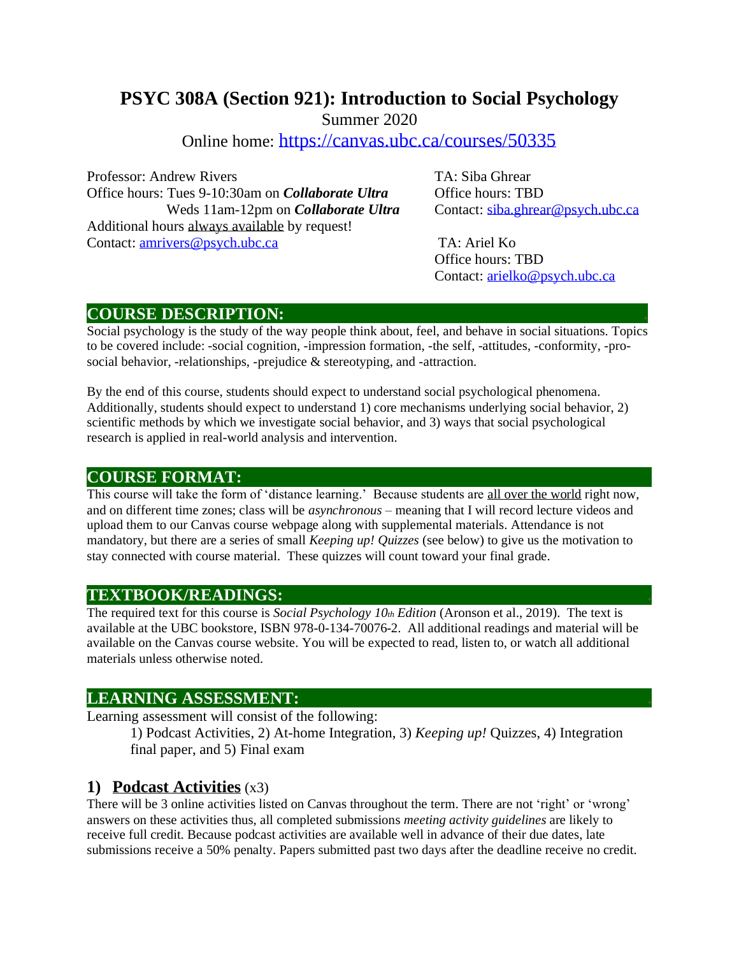# **PSYC 308A (Section 921): Introduction to Social Psychology**

Summer 2020

Online home: <https://canvas.ubc.ca/courses/50335>

Professor: Andrew Rivers TA: Siba Ghrear Office hours: Tues 9-10:30am on *Collaborate Ultra* Office hours: TBD Weds 11am-12pm on *Collaborate Ultra* Contact: [siba.ghrear@psych.ubc.ca](mailto:siba.ghrear@psych.ubc.ca) Additional hours always available by request! Contact: [amrivers@psych.ubc.ca](mailto:amrivers@psych.ubc.ca) TA: Ariel Ko

Office hours: TBD Contact: [arielko@psych.ubc.ca](mailto:arielko@psych.ubc.ca)

#### **COURSE DESCRIPTION: .**

Social psychology is the study of the way people think about, feel, and behave in social situations. Topics to be covered include: -social cognition, -impression formation, -the self, -attitudes, -conformity, -prosocial behavior, -relationships, -prejudice & stereotyping, and -attraction.

By the end of this course, students should expect to understand social psychological phenomena. Additionally, students should expect to understand 1) core mechanisms underlying social behavior, 2) scientific methods by which we investigate social behavior, and 3) ways that social psychological research is applied in real-world analysis and intervention.

#### **COURSE FORMAT:**

This course will take the form of 'distance learning.' Because students are all over the world right now, and on different time zones; class will be *asynchronous* – meaning that I will record lecture videos and upload them to our Canvas course webpage along with supplemental materials. Attendance is not mandatory, but there are a series of small *Keeping up! Quizzes* (see below) to give us the motivation to stay connected with course material. These quizzes will count toward your final grade.

### **TEXTBOOK/READINGS: .**

The required text for this course is *Social Psychology 10th Edition* (Aronson et al., 2019). The text is available at the UBC bookstore, ISBN 978-0-134-70076-2. All additional readings and material will be available on the Canvas course website. You will be expected to read, listen to, or watch all additional materials unless otherwise noted.

### **LEARNING ASSESSMENT: .**

Learning assessment will consist of the following:

1) Podcast Activities, 2) At-home Integration, 3) *Keeping up!* Quizzes, 4) Integration final paper, and 5) Final exam

#### **1) Podcast Activities** (x3)

There will be 3 online activities listed on Canvas throughout the term. There are not 'right' or 'wrong' answers on these activities thus, all completed submissions *meeting activity guidelines* are likely to receive full credit. Because podcast activities are available well in advance of their due dates, late submissions receive a 50% penalty. Papers submitted past two days after the deadline receive no credit.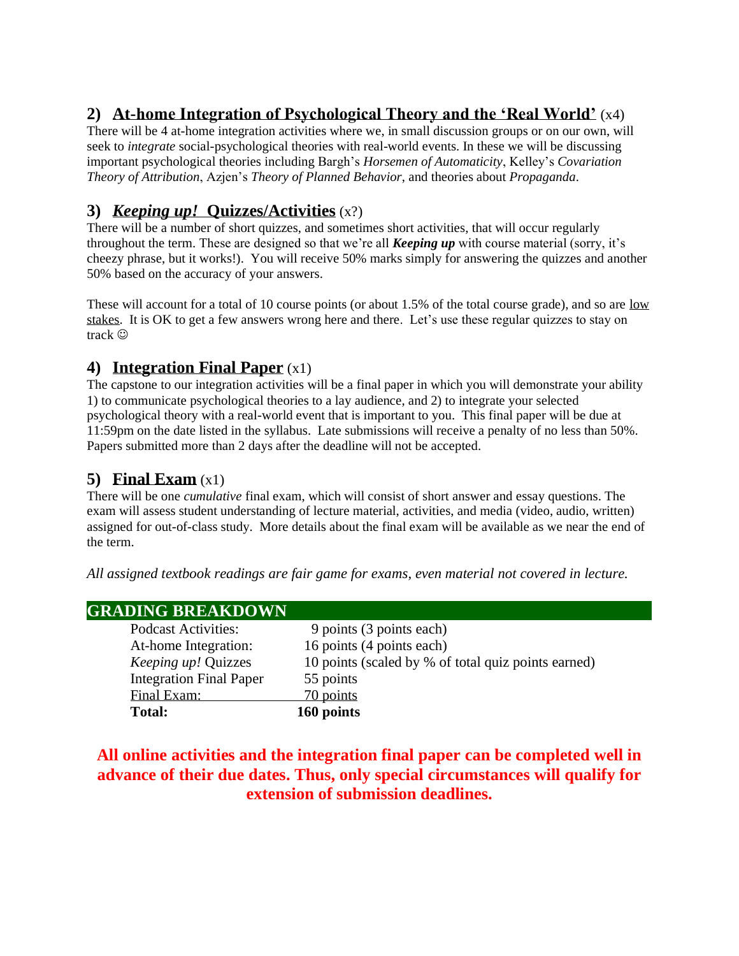# **2) At-home Integration of Psychological Theory and the 'Real World'** (x4)

There will be 4 at-home integration activities where we, in small discussion groups or on our own, will seek to *integrate* social-psychological theories with real-world events. In these we will be discussing important psychological theories including Bargh's *Horsemen of Automaticity*, Kelley's *Covariation Theory of Attribution*, Azjen's *Theory of Planned Behavior*, and theories about *Propaganda*.

# **3)** *Keeping up!* **Quizzes/Activities** (x?)

There will be a number of short quizzes, and sometimes short activities, that will occur regularly throughout the term. These are designed so that we're all *Keeping up* with course material (sorry, it's cheezy phrase, but it works!). You will receive 50% marks simply for answering the quizzes and another 50% based on the accuracy of your answers.

These will account for a total of 10 course points (or about 1.5% of the total course grade), and so are low stakes. It is OK to get a few answers wrong here and there. Let's use these regular quizzes to stay on track  $\odot$ 

## **4) Integration Final Paper** (x1)

The capstone to our integration activities will be a final paper in which you will demonstrate your ability 1) to communicate psychological theories to a lay audience, and 2) to integrate your selected psychological theory with a real-world event that is important to you. This final paper will be due at 11:59pm on the date listed in the syllabus. Late submissions will receive a penalty of no less than 50%. Papers submitted more than 2 days after the deadline will not be accepted.

### **5) Final Exam** (x1)

There will be one *cumulative* final exam, which will consist of short answer and essay questions. The exam will assess student understanding of lecture material, activities, and media (video, audio, written) assigned for out-of-class study. More details about the final exam will be available as we near the end of the term.

*All assigned textbook readings are fair game for exams, even material not covered in lecture.*

| <b>GRADING BREAKDOWN</b>       |                                                     |
|--------------------------------|-----------------------------------------------------|
| <b>Podcast Activities:</b>     | 9 points (3 points each)                            |
| At-home Integration:           | 16 points (4 points each)                           |
| <i>Keeping up!</i> Quizzes     | 10 points (scaled by % of total quiz points earned) |
| <b>Integration Final Paper</b> | 55 points                                           |
| Final Exam:                    | 70 points                                           |
| <b>Total:</b>                  | 160 points                                          |

### **All online activities and the integration final paper can be completed well in advance of their due dates. Thus, only special circumstances will qualify for extension of submission deadlines.**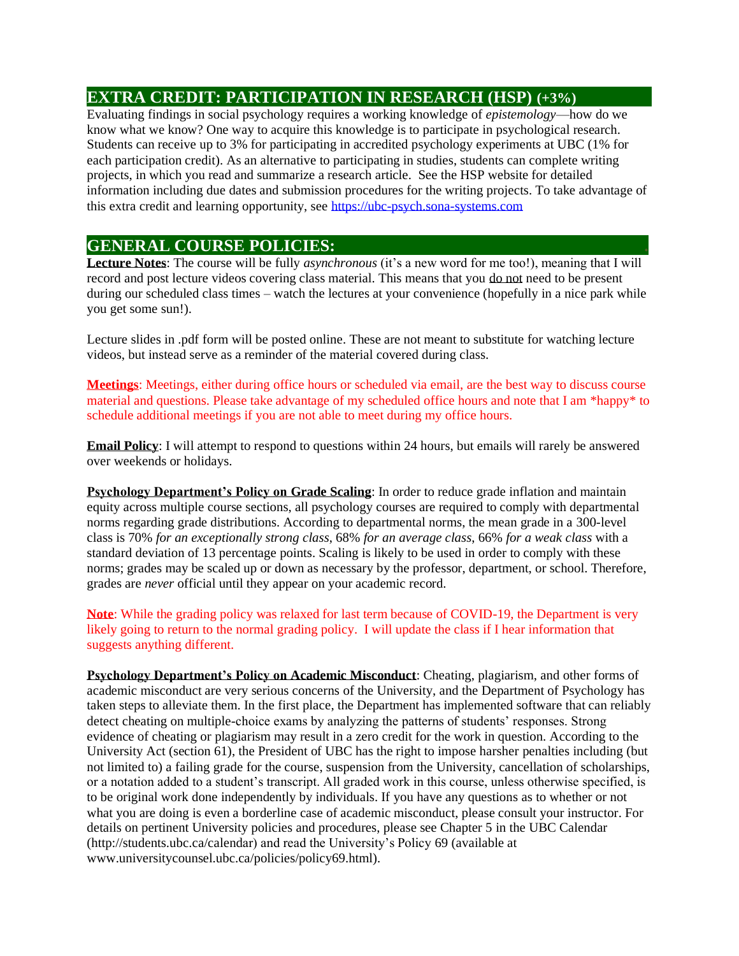#### **EXTRA CREDIT: PARTICIPATION IN RESEARCH (HSP) (+3%)**

Evaluating findings in social psychology requires a working knowledge of *epistemology*—how do we know what we know? One way to acquire this knowledge is to participate in psychological research. Students can receive up to 3% for participating in accredited psychology experiments at UBC (1% for each participation credit). As an alternative to participating in studies, students can complete writing projects, in which you read and summarize a research article. See the HSP website for detailed information including due dates and submission procedures for the writing projects. To take advantage of this extra credit and learning opportunity, see [https://ubc-psych.sona-systems.com](https://ubc-psych.sona-systems.com/) 

#### **GENERAL COURSE POLICIES: .**

**Lecture Notes**: The course will be fully *asynchronous* (it's a new word for me too!), meaning that I will record and post lecture videos covering class material. This means that you do not need to be present during our scheduled class times – watch the lectures at your convenience (hopefully in a nice park while you get some sun!).

Lecture slides in .pdf form will be posted online. These are not meant to substitute for watching lecture videos, but instead serve as a reminder of the material covered during class.

**Meetings**: Meetings, either during office hours or scheduled via email, are the best way to discuss course material and questions. Please take advantage of my scheduled office hours and note that I am \*happy\* to schedule additional meetings if you are not able to meet during my office hours.

**Email Policy**: I will attempt to respond to questions within 24 hours, but emails will rarely be answered over weekends or holidays.

**Psychology Department's Policy on Grade Scaling**: In order to reduce grade inflation and maintain equity across multiple course sections, all psychology courses are required to comply with departmental norms regarding grade distributions. According to departmental norms, the mean grade in a 300-level class is 70% *for an exceptionally strong class*, 68% *for an average class*, 66% *for a weak class* with a standard deviation of 13 percentage points. Scaling is likely to be used in order to comply with these norms; grades may be scaled up or down as necessary by the professor, department, or school. Therefore, grades are *never* official until they appear on your academic record.

**Note**: While the grading policy was relaxed for last term because of COVID-19, the Department is very likely going to return to the normal grading policy. I will update the class if I hear information that suggests anything different.

**Psychology Department's Policy on Academic Misconduct**: Cheating, plagiarism, and other forms of academic misconduct are very serious concerns of the University, and the Department of Psychology has taken steps to alleviate them. In the first place, the Department has implemented software that can reliably detect cheating on multiple-choice exams by analyzing the patterns of students' responses. Strong evidence of cheating or plagiarism may result in a zero credit for the work in question. According to the University Act (section 61), the President of UBC has the right to impose harsher penalties including (but not limited to) a failing grade for the course, suspension from the University, cancellation of scholarships, or a notation added to a student's transcript. All graded work in this course, unless otherwise specified, is to be original work done independently by individuals. If you have any questions as to whether or not what you are doing is even a borderline case of academic misconduct, please consult your instructor. For details on pertinent University policies and procedures, please see Chapter 5 in the UBC Calendar (http://students.ubc.ca/calendar) and read the University's Policy 69 (available at www.universitycounsel.ubc.ca/policies/policy69.html).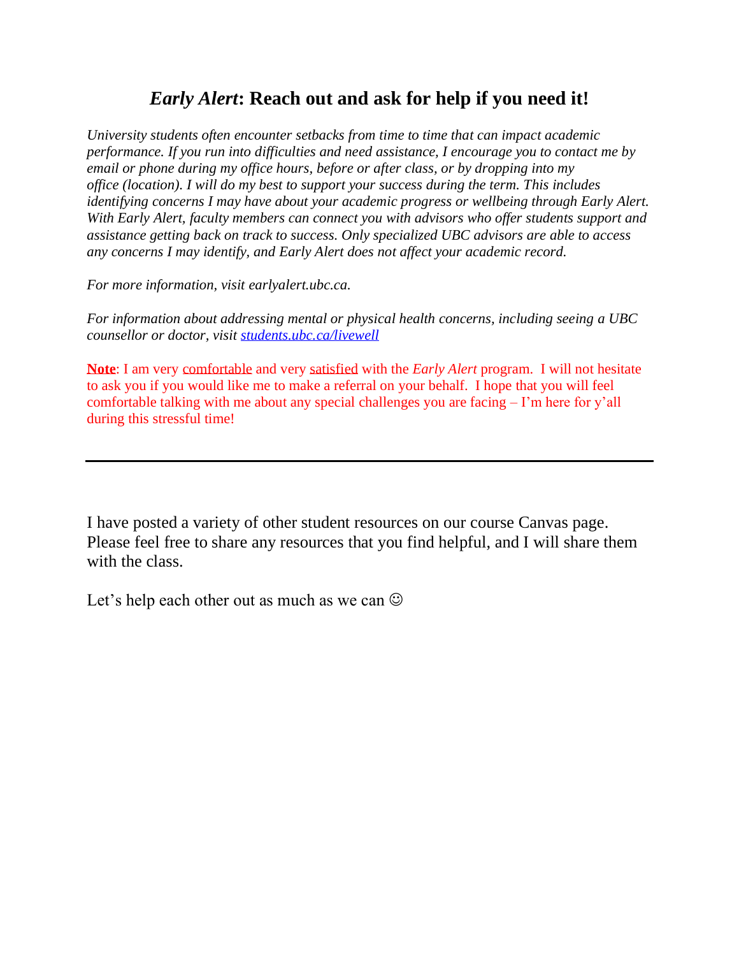# *Early Alert***: Reach out and ask for help if you need it!**

*University students often encounter setbacks from time to time that can impact academic performance. If you run into difficulties and need assistance, I encourage you to contact me by email or phone during my office hours, before or after class, or by dropping into my office (location). I will do my best to support your success during the term. This includes identifying concerns I may have about your academic progress or wellbeing through Early Alert. With Early Alert, faculty members can connect you with advisors who offer students support and assistance getting back on track to success. Only specialized UBC advisors are able to access any concerns I may identify, and Early Alert does not affect your academic record.*

*For more information, visit earlyalert.ubc.ca.*

*For information about addressing mental or physical health concerns, including seeing a UBC counsellor or doctor, visit [students.ubc.ca/livewell](http://students.ubc.ca/livewell)*

**Note**: I am very comfortable and very satisfied with the *Early Alert* program. I will not hesitate to ask you if you would like me to make a referral on your behalf. I hope that you will feel comfortable talking with me about any special challenges you are facing – I'm here for y'all during this stressful time!

I have posted a variety of other student resources on our course Canvas page. Please feel free to share any resources that you find helpful, and I will share them with the class.

Let's help each other out as much as we can  $\odot$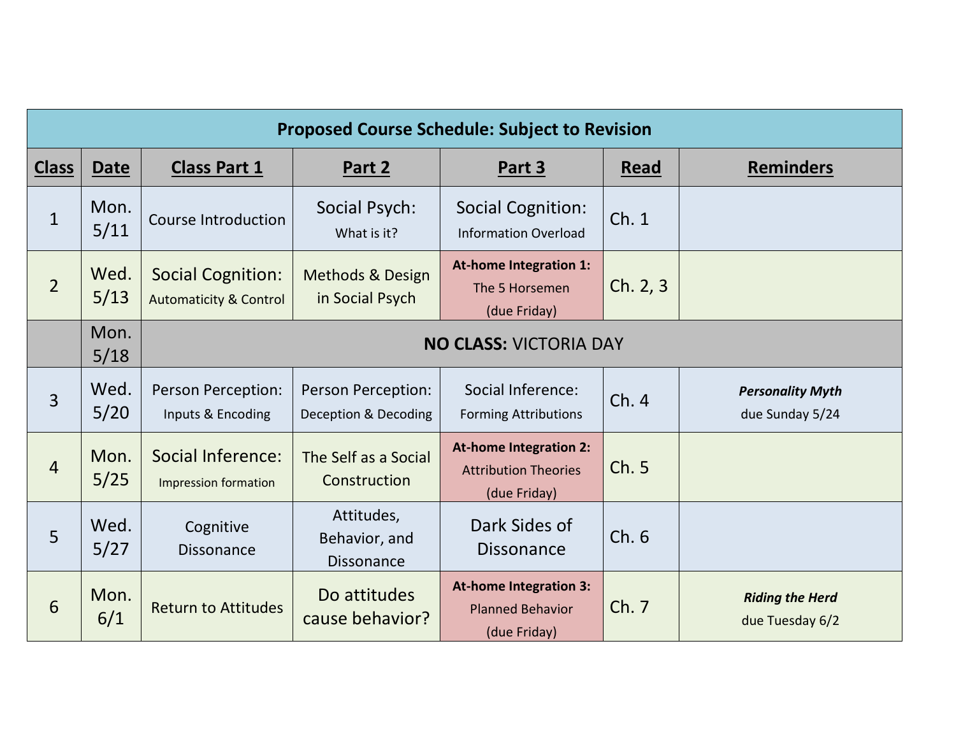| <b>Proposed Course Schedule: Subject to Revision</b> |              |                                                               |                                                  |                                                                              |          |                                            |  |  |
|------------------------------------------------------|--------------|---------------------------------------------------------------|--------------------------------------------------|------------------------------------------------------------------------------|----------|--------------------------------------------|--|--|
| <b>Class</b>                                         | Date         | <b>Class Part 1</b>                                           | Part 2                                           | Part 3                                                                       | Read     | <b>Reminders</b>                           |  |  |
| $\mathbf{1}$                                         | Mon.<br>5/11 | <b>Course Introduction</b>                                    | Social Psych:<br>What is it?                     | <b>Social Cognition:</b><br><b>Information Overload</b>                      | Ch.1     |                                            |  |  |
| $\overline{2}$                                       | Wed.<br>5/13 | <b>Social Cognition:</b><br><b>Automaticity &amp; Control</b> | <b>Methods &amp; Design</b><br>in Social Psych   | <b>At-home Integration 1:</b><br>The 5 Horsemen<br>(due Friday)              | Ch. 2, 3 |                                            |  |  |
|                                                      | Mon.<br>5/18 | <b>NO CLASS: VICTORIA DAY</b>                                 |                                                  |                                                                              |          |                                            |  |  |
| 3                                                    | Wed.<br>5/20 | Person Perception:<br>Inputs & Encoding                       | Person Perception:<br>Deception & Decoding       | Social Inference:<br><b>Forming Attributions</b>                             | Ch.4     | <b>Personality Myth</b><br>due Sunday 5/24 |  |  |
| $\overline{4}$                                       | Mon.<br>5/25 | <b>Social Inference:</b><br>Impression formation              | The Self as a Social<br>Construction             | <b>At-home Integration 2:</b><br><b>Attribution Theories</b><br>(due Friday) | Ch. 5    |                                            |  |  |
| 5                                                    | Wed.<br>5/27 | Cognitive<br><b>Dissonance</b>                                | Attitudes,<br>Behavior, and<br><b>Dissonance</b> | Dark Sides of<br><b>Dissonance</b>                                           | Ch.6     |                                            |  |  |
| 6                                                    | Mon.<br>6/1  | <b>Return to Attitudes</b>                                    | Do attitudes<br>cause behavior?                  | <b>At-home Integration 3:</b><br><b>Planned Behavior</b><br>(due Friday)     | Ch. 7    | <b>Riding the Herd</b><br>due Tuesday 6/2  |  |  |